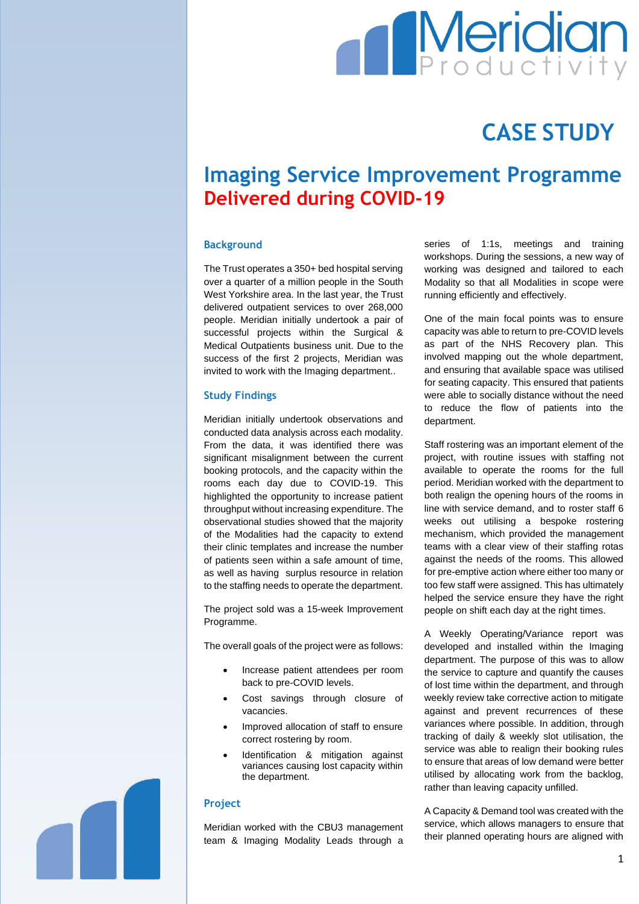# **Meridian**

## **CASE STUDY**

### **Imaging Service Improvement Programme Delivered during COVID-19**

#### **Background**

The Trust operates a 350+ bed hospital serving over a quarter of a million people in the South West Yorkshire area. In the last year, the Trust delivered outpatient services to over 268,000 people. Meridian initially undertook a pair of successful projects within the Surgical & Medical Outpatients business unit. Due to the success of the first 2 projects, Meridian was invited to work with the Imaging department..

#### **Study Findings**

Meridian initially undertook observations and conducted data analysis across each modality. From the data, it was identified there was significant misalignment between the current booking protocols, and the capacity within the rooms each day due to COVID-19. This highlighted the opportunity to increase patient throughput without increasing expenditure. The observational studies showed that the majority of the Modalities had the capacity to extend their clinic templates and increase the number of patients seen within a safe amount of time, as well as having surplus resource in relation to the staffing needs to operate the department.

The project sold was a 15-week Improvement Programme.

The overall goals of the project were as follows:

- Increase patient attendees per room back to pre-COVID levels.
- Cost savings through closure of vacancies.
- Improved allocation of staff to ensure correct rostering by room.
- Identification & mitigation against variances causing lost capacity within the department.

#### **Project**

Meridian worked with the CBU3 management team & Imaging Modality Leads through a

series of 1:1s, meetings and training workshops. During the sessions, a new way of working was designed and tailored to each Modality so that all Modalities in scope were running efficiently and effectively.

One of the main focal points was to ensure capacity was able to return to pre-COVID levels as part of the NHS Recovery plan. This involved mapping out the whole department, and ensuring that available space was utilised for seating capacity. This ensured that patients were able to socially distance without the need to reduce the flow of patients into the department.

Staff rostering was an important element of the project, with routine issues with staffing not available to operate the rooms for the full period. Meridian worked with the department to both realign the opening hours of the rooms in line with service demand, and to roster staff 6 weeks out utilising a bespoke rostering mechanism, which provided the management teams with a clear view of their staffing rotas against the needs of the rooms. This allowed for pre-emptive action where either too many or too few staff were assigned. This has ultimately helped the service ensure they have the right people on shift each day at the right times.

A Weekly Operating/Variance report was developed and installed within the Imaging department. The purpose of this was to allow the service to capture and quantify the causes of lost time within the department, and through weekly review take corrective action to mitigate against and prevent recurrences of these variances where possible. In addition, through tracking of daily & weekly slot utilisation, the service was able to realign their booking rules to ensure that areas of low demand were better utilised by allocating work from the backlog, rather than leaving capacity unfilled.

A Capacity & Demand tool was created with the service, which allows managers to ensure that their planned operating hours are aligned with

1